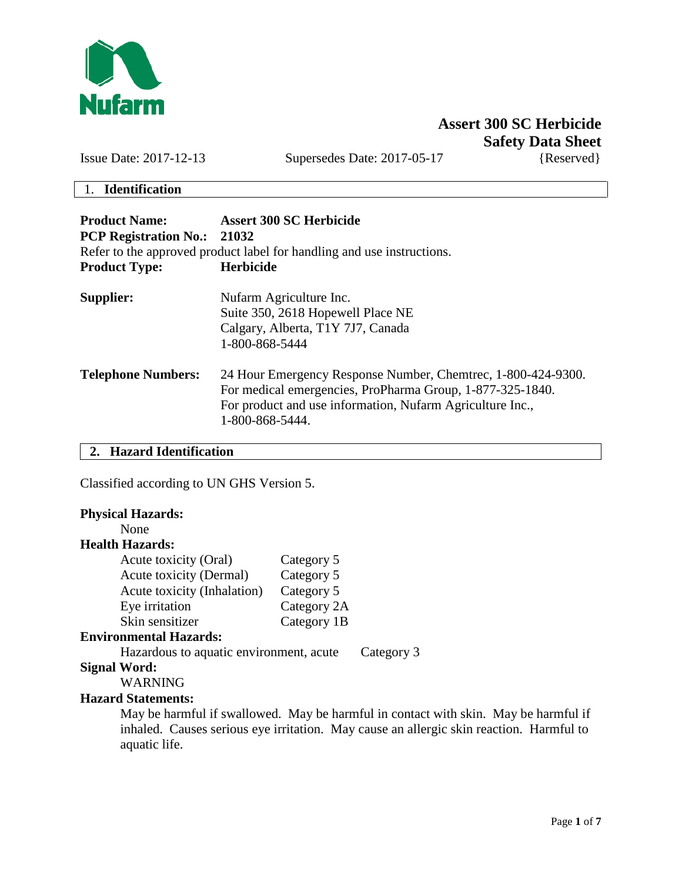

# **Assert 300 SC Herbicide Safety Data Sheet**

Issue Date: 2017-12-13 Supersedes Date: 2017-05-17 {Reserved}

## 1. **Identification**

| <b>Product Name:</b><br><b>PCP Registration No.: 21032</b> | <b>Assert 300 SC Herbicide</b><br>Refer to the approved product label for handling and use instructions.                                                                                                   |
|------------------------------------------------------------|------------------------------------------------------------------------------------------------------------------------------------------------------------------------------------------------------------|
| <b>Product Type:</b>                                       | <b>Herbicide</b>                                                                                                                                                                                           |
| Supplier:                                                  | Nufarm Agriculture Inc.<br>Suite 350, 2618 Hopewell Place NE<br>Calgary, Alberta, T1Y 7J7, Canada<br>1-800-868-5444                                                                                        |
| <b>Telephone Numbers:</b>                                  | 24 Hour Emergency Response Number, Chemetrec, 1-800-424-9300.<br>For medical emergencies, ProPharma Group, 1-877-325-1840.<br>For product and use information, Nufarm Agriculture Inc.,<br>1-800-868-5444. |

**2. Hazard Identification**

Classified according to UN GHS Version 5.

# **Physical Hazards:**

# None

# **Health Hazards:**

| Acute toxicity (Oral)       | Category 5  |
|-----------------------------|-------------|
| Acute toxicity (Dermal)     | Category 5  |
| Acute toxicity (Inhalation) | Category 5  |
| Eye irritation              | Category 2A |
| Skin sensitizer             | Category 1B |

# **Environmental Hazards:**

Hazardous to aquatic environment, acute Category 3

### **Signal Word:**

WARNING

## **Hazard Statements:**

May be harmful if swallowed. May be harmful in contact with skin. May be harmful if inhaled. Causes serious eye irritation. May cause an allergic skin reaction. Harmful to aquatic life.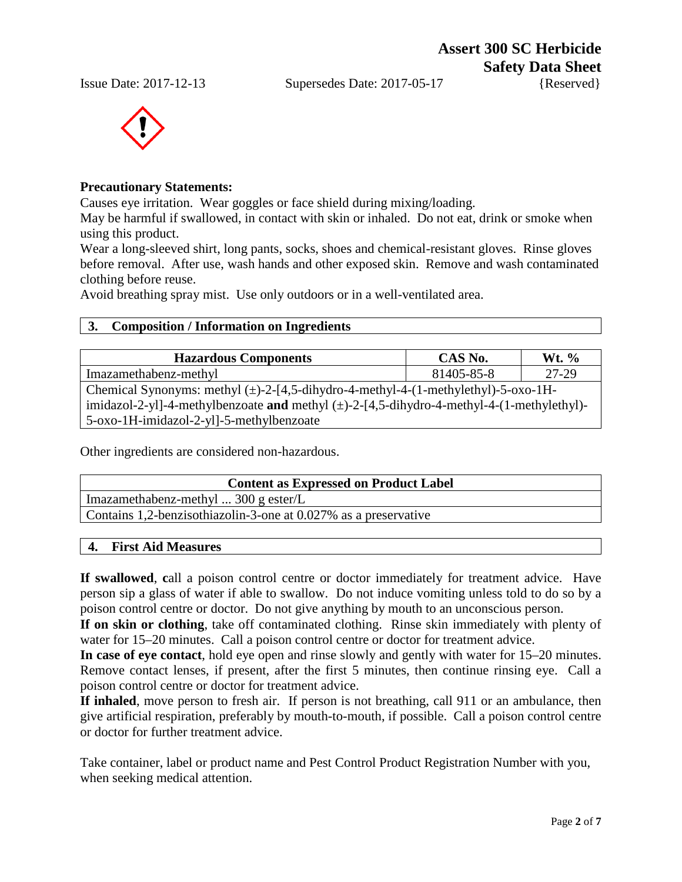**Assert 300 SC Herbicide Safety Data Sheet**





## **Precautionary Statements:**

Causes eye irritation. Wear goggles or face shield during mixing/loading.

May be harmful if swallowed, in contact with skin or inhaled. Do not eat, drink or smoke when using this product.

Wear a long-sleeved shirt, long pants, socks, shoes and chemical-resistant gloves. Rinse gloves before removal. After use, wash hands and other exposed skin. Remove and wash contaminated clothing before reuse.

Avoid breathing spray mist. Use only outdoors or in a well-ventilated area.

## **3. Composition / Information on Ingredients**

| <b>Hazardous Components</b>                                                                    | CAS No.    | Wt. $\%$ |
|------------------------------------------------------------------------------------------------|------------|----------|
| Imazamethabenz-methyl                                                                          | 81405-85-8 | 27-29    |
| Chemical Synonyms: methyl $(\pm)$ -2-[4,5-dihydro-4-methyl-4-(1-methylethyl)-5-oxo-1H-         |            |          |
| imidazol-2-yl]-4-methylbenzoate and methyl $(\pm)$ -2-[4,5-dihydro-4-methyl-4-(1-methylethyl)- |            |          |
| 5-oxo-1H-imidazol-2-yl]-5-methylbenzoate                                                       |            |          |

Other ingredients are considered non-hazardous.

| <b>Content as Expressed on Product Label</b>                    |
|-----------------------------------------------------------------|
| Imazamethabenz-methyl $300 \text{ g} \text{ ester/L}$           |
| Contains 1,2-benzisothiazolin-3-one at 0.027% as a preservative |

### **4. First Aid Measures**

**If swallowed**, **c**all a poison control centre or doctor immediately for treatment advice. Have person sip a glass of water if able to swallow. Do not induce vomiting unless told to do so by a poison control centre or doctor. Do not give anything by mouth to an unconscious person.

**If on skin or clothing**, take off contaminated clothing. Rinse skin immediately with plenty of water for 15–20 minutes. Call a poison control centre or doctor for treatment advice.

**In case of eye contact**, hold eye open and rinse slowly and gently with water for 15–20 minutes. Remove contact lenses, if present, after the first 5 minutes, then continue rinsing eye. Call a poison control centre or doctor for treatment advice.

**If inhaled**, move person to fresh air. If person is not breathing, call 911 or an ambulance, then give artificial respiration, preferably by mouth-to-mouth, if possible. Call a poison control centre or doctor for further treatment advice.

Take container, label or product name and Pest Control Product Registration Number with you, when seeking medical attention.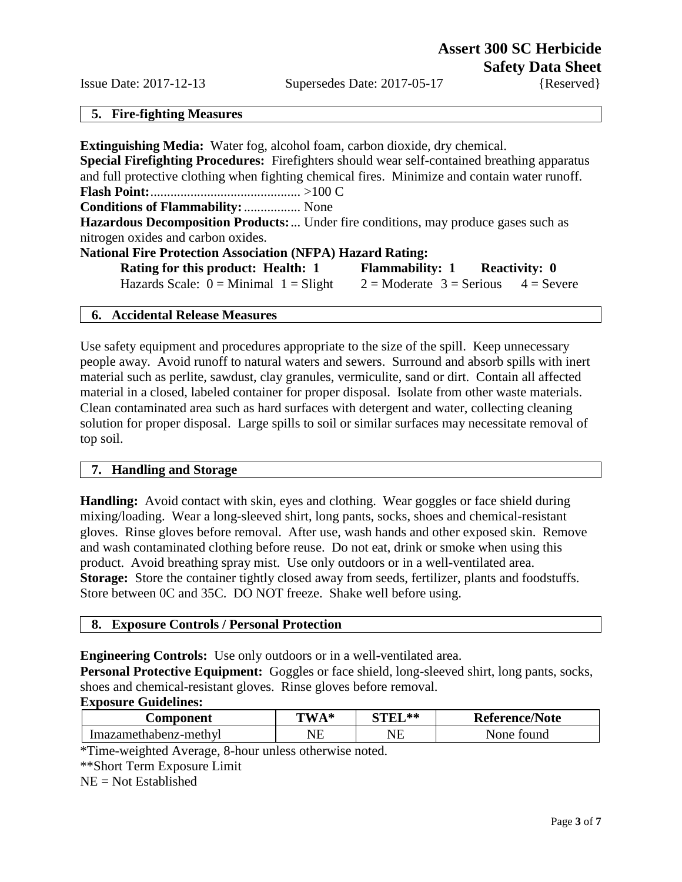#### **5. Fire-fighting Measures**

| <b>Extinguishing Media:</b> Water fog, alcohol foam, carbon dioxide, dry chemical.                  |                                           |
|-----------------------------------------------------------------------------------------------------|-------------------------------------------|
| <b>Special Firefighting Procedures:</b> Firefighters should wear self-contained breathing apparatus |                                           |
| and full protective clothing when fighting chemical fires. Minimize and contain water runoff.       |                                           |
|                                                                                                     |                                           |
| <b>Conditions of Flammability:</b> None                                                             |                                           |
| <b>Hazardous Decomposition Products:</b> Under fire conditions, may produce gases such as           |                                           |
| nitrogen oxides and carbon oxides.                                                                  |                                           |
| <b>National Fire Protection Association (NFPA) Hazard Rating:</b>                                   |                                           |
| <b>Rating for this product: Health: 1</b>                                                           | <b>Flammability: 1 Reactivity: 0</b>      |
| Hazards Scale: $0 =$ Minimal $1 =$ Slight                                                           | $2 =$ Moderate $3 =$ Serious $4 =$ Severe |

### **6. Accidental Release Measures**

Use safety equipment and procedures appropriate to the size of the spill. Keep unnecessary people away. Avoid runoff to natural waters and sewers. Surround and absorb spills with inert material such as perlite, sawdust, clay granules, vermiculite, sand or dirt. Contain all affected material in a closed, labeled container for proper disposal. Isolate from other waste materials. Clean contaminated area such as hard surfaces with detergent and water, collecting cleaning solution for proper disposal. Large spills to soil or similar surfaces may necessitate removal of top soil.

#### **7. Handling and Storage**

**Handling:** Avoid contact with skin, eyes and clothing. Wear goggles or face shield during mixing/loading. Wear a long-sleeved shirt, long pants, socks, shoes and chemical-resistant gloves. Rinse gloves before removal. After use, wash hands and other exposed skin. Remove and wash contaminated clothing before reuse. Do not eat, drink or smoke when using this product. Avoid breathing spray mist. Use only outdoors or in a well-ventilated area. **Storage:** Store the container tightly closed away from seeds, fertilizer, plants and foodstuffs. Store between 0C and 35C. DO NOT freeze. Shake well before using.

## **8. Exposure Controls / Personal Protection**

**Engineering Controls:** Use only outdoors or in a well-ventilated area.

**Personal Protective Equipment:** Goggles or face shield, long-sleeved shirt, long pants, socks, shoes and chemical-resistant gloves. Rinse gloves before removal.

#### **Exposure Guidelines:**

| <b>Component</b>      | "WA*<br>. | ** | <b>Reference/Note</b> |
|-----------------------|-----------|----|-----------------------|
| Imazamethabenz-methyl | NЕ        | NE | ound<br>√one          |

\*Time-weighted Average, 8-hour unless otherwise noted.

\*\*Short Term Exposure Limit

 $NE = Not$  Established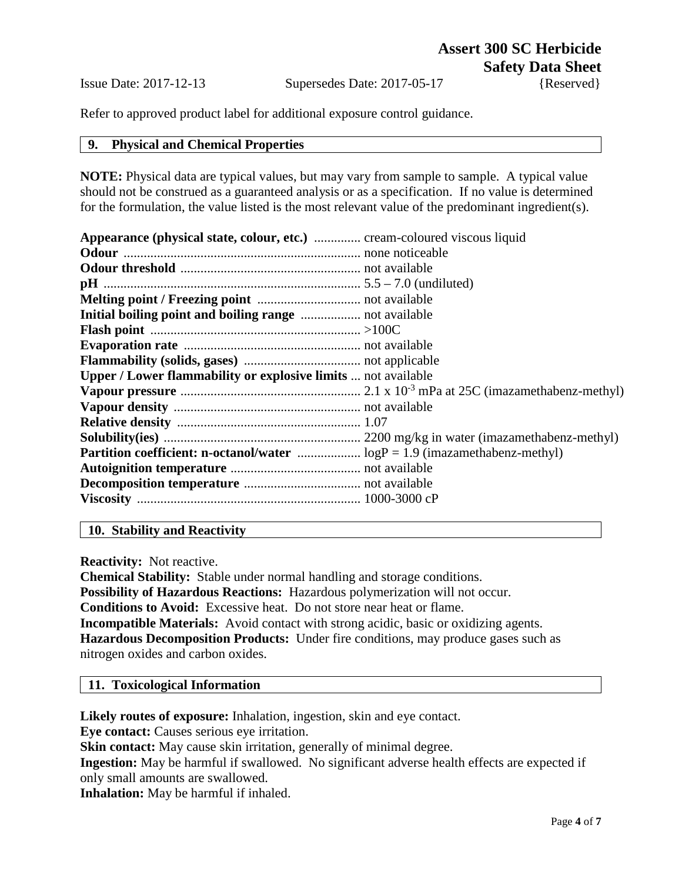Refer to approved product label for additional exposure control guidance.

### **9. Physical and Chemical Properties**

**NOTE:** Physical data are typical values, but may vary from sample to sample. A typical value should not be construed as a guaranteed analysis or as a specification. If no value is determined for the formulation, the value listed is the most relevant value of the predominant ingredient(s).

| <b>Appearance (physical state, colour, etc.)</b> cream-coloured viscous liquid |  |
|--------------------------------------------------------------------------------|--|
|                                                                                |  |
|                                                                                |  |
|                                                                                |  |
|                                                                                |  |
|                                                                                |  |
|                                                                                |  |
|                                                                                |  |
|                                                                                |  |
| Upper / Lower flammability or explosive limits  not available                  |  |
|                                                                                |  |
|                                                                                |  |
|                                                                                |  |
|                                                                                |  |
|                                                                                |  |
|                                                                                |  |
|                                                                                |  |
|                                                                                |  |
|                                                                                |  |

# **10. Stability and Reactivity**

**Reactivity:** Not reactive.

**Chemical Stability:** Stable under normal handling and storage conditions. **Possibility of Hazardous Reactions:** Hazardous polymerization will not occur. **Conditions to Avoid:** Excessive heat. Do not store near heat or flame. **Incompatible Materials:** Avoid contact with strong acidic, basic or oxidizing agents. **Hazardous Decomposition Products:** Under fire conditions, may produce gases such as nitrogen oxides and carbon oxides.

### **11. Toxicological Information**

**Likely routes of exposure:** Inhalation, ingestion, skin and eye contact.

**Eye contact:** Causes serious eye irritation.

**Skin contact:** May cause skin irritation, generally of minimal degree.

**Ingestion:** May be harmful if swallowed. No significant adverse health effects are expected if only small amounts are swallowed.

**Inhalation:** May be harmful if inhaled.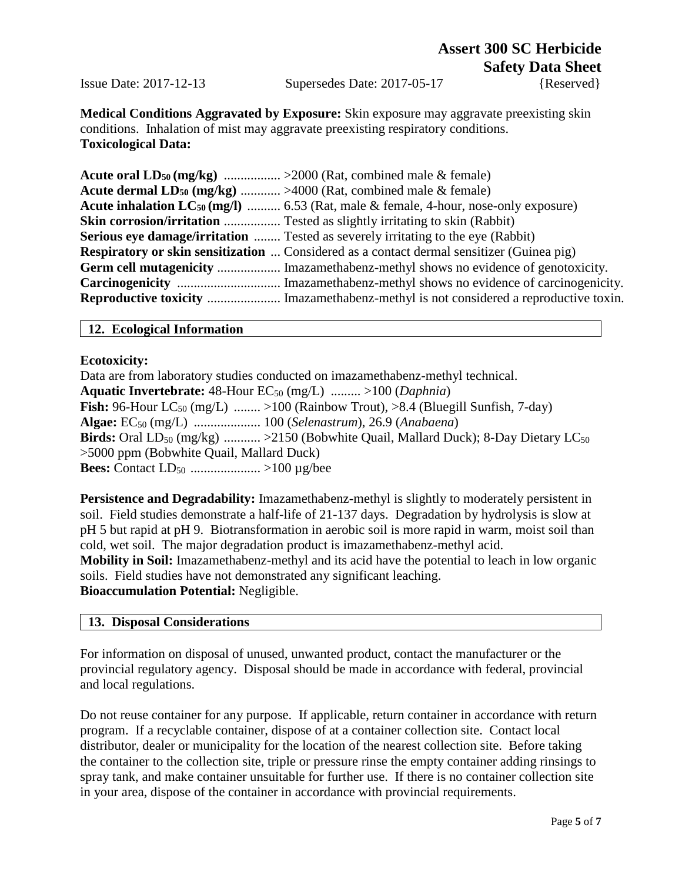# **Assert 300 SC Herbicide Safety Data Sheet**

Issue Date: 2017-12-13 Supersedes Date: 2017-05-17 {Reserved}

**Medical Conditions Aggravated by Exposure:** Skin exposure may aggravate preexisting skin conditions. Inhalation of mist may aggravate preexisting respiratory conditions. **Toxicological Data:**

| <b>Acute dermal LD<sub>50</sub></b> (mg/kg)  >4000 (Rat, combined male & female)                     |
|------------------------------------------------------------------------------------------------------|
| <b>Acute inhalation LC<sub>50</sub> (mg/l)</b> 6.53 (Rat, male & female, 4-hour, nose-only exposure) |
| <b>Skin corrosion/irritation</b> Tested as slightly irritating to skin (Rabbit)                      |
| <b>Serious eye damage/irritation</b> Tested as severely irritating to the eye (Rabbit)               |
| <b>Respiratory or skin sensitization</b> Considered as a contact dermal sensitizer (Guinea pig)      |
| <b>Germ cell mutagenicity</b> Imazamethabenz-methyl shows no evidence of genotoxicity.               |
|                                                                                                      |
|                                                                                                      |

## **12. Ecological Information**

### **Ecotoxicity:**

Data are from laboratory studies conducted on imazamethabenz-methyl technical. **Aquatic Invertebrate:** 48-Hour EC<sub>50</sub> (mg/L) ......... >100 (*Daphnia*) **Fish:** 96-Hour LC<sub>50</sub> (mg/L) ........ >100 (Rainbow Trout), >8.4 (Bluegill Sunfish, 7-day) **Algae:** EC50 (mg/L) .................... 100 (*Selenastrum*), 26.9 (*Anabaena*) **Birds:** Oral LD<sub>50</sub> (mg/kg) ........... >2150 (Bobwhite Quail, Mallard Duck); 8-Day Dietary LC<sub>50</sub> >5000 ppm (Bobwhite Quail, Mallard Duck) **Bees:** Contact LD50 ..................... >100 µg/bee

**Persistence and Degradability:** Imazamethabenz-methyl is slightly to moderately persistent in soil. Field studies demonstrate a half-life of 21-137 days. Degradation by hydrolysis is slow at pH 5 but rapid at pH 9. Biotransformation in aerobic soil is more rapid in warm, moist soil than cold, wet soil. The major degradation product is imazamethabenz-methyl acid. **Mobility in Soil:** Imazamethabenz-methyl and its acid have the potential to leach in low organic soils. Field studies have not demonstrated any significant leaching. **Bioaccumulation Potential:** Negligible.

## **13. Disposal Considerations**

For information on disposal of unused, unwanted product, contact the manufacturer or the provincial regulatory agency. Disposal should be made in accordance with federal, provincial and local regulations.

Do not reuse container for any purpose. If applicable, return container in accordance with return program. If a recyclable container, dispose of at a container collection site. Contact local distributor, dealer or municipality for the location of the nearest collection site. Before taking the container to the collection site, triple or pressure rinse the empty container adding rinsings to spray tank, and make container unsuitable for further use. If there is no container collection site in your area, dispose of the container in accordance with provincial requirements.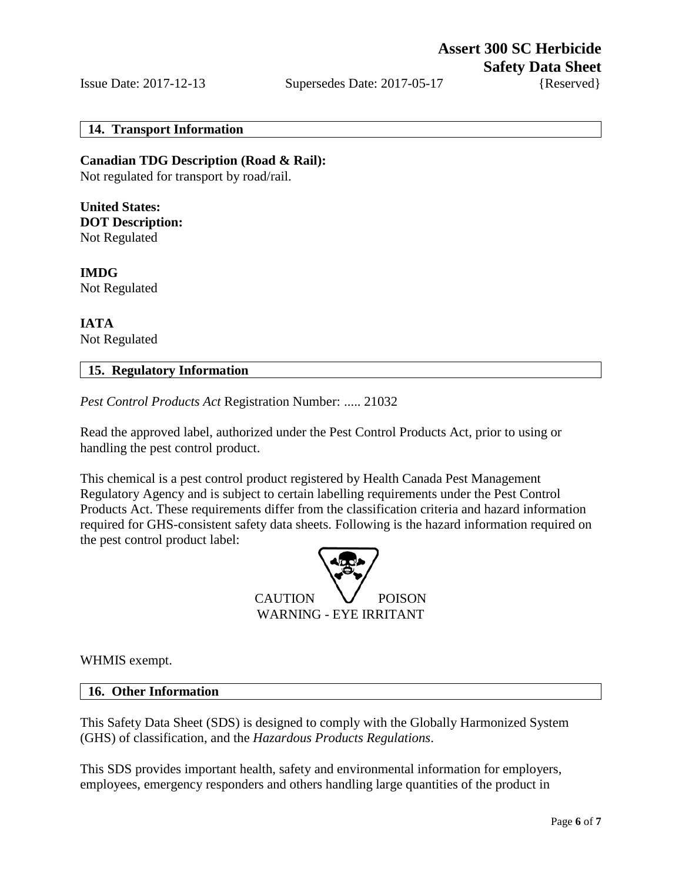## **14. Transport Information**

**Canadian TDG Description (Road & Rail):** Not regulated for transport by road/rail.

**United States: DOT Description:**  Not Regulated

**IMDG** Not Regulated

**IATA** Not Regulated

# **15. Regulatory Information**

*Pest Control Products Act* Registration Number: ..... 21032

Read the approved label, authorized under the Pest Control Products Act, prior to using or handling the pest control product.

This chemical is a pest control product registered by Health Canada Pest Management Regulatory Agency and is subject to certain labelling requirements under the Pest Control Products Act. These requirements differ from the classification criteria and hazard information required for GHS-consistent safety data sheets. Following is the hazard information required on the pest control product label:



WHMIS exempt.

### **16. Other Information**

This Safety Data Sheet (SDS) is designed to comply with the Globally Harmonized System (GHS) of classification, and the *Hazardous Products Regulations*.

This SDS provides important health, safety and environmental information for employers, employees, emergency responders and others handling large quantities of the product in